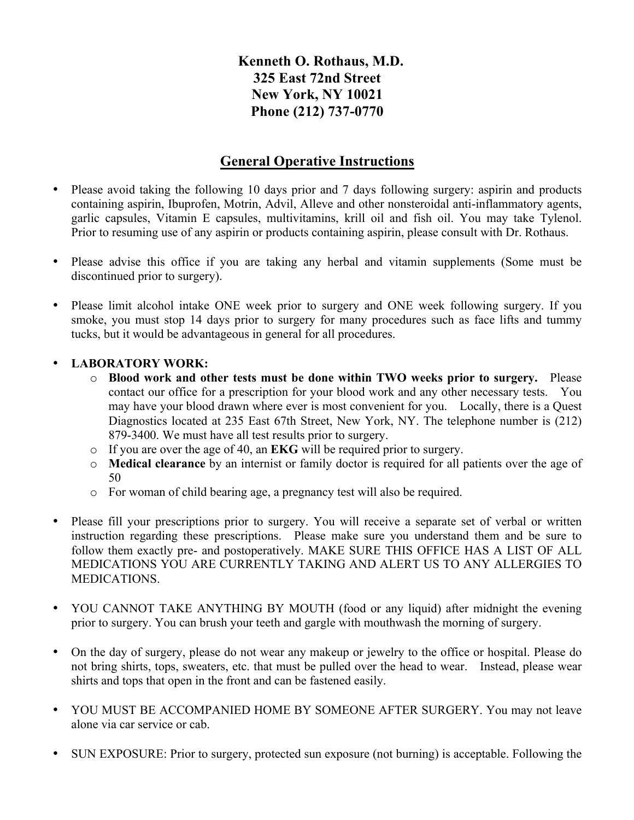## **Kenneth O. Rothaus, M.D. 325 East 72nd Street New York, NY 10021 Phone (212) 737-0770**

## **General Operative Instructions**

- Please avoid taking the following 10 days prior and 7 days following surgery: aspirin and products containing aspirin, Ibuprofen, Motrin, Advil, Alleve and other nonsteroidal anti-inflammatory agents, garlic capsules, Vitamin E capsules, multivitamins, krill oil and fish oil. You may take Tylenol. Prior to resuming use of any aspirin or products containing aspirin, please consult with Dr. Rothaus.
- Please advise this office if you are taking any herbal and vitamin supplements (Some must be discontinued prior to surgery).
- Please limit alcohol intake ONE week prior to surgery and ONE week following surgery. If you smoke, you must stop 14 days prior to surgery for many procedures such as face lifts and tummy tucks, but it would be advantageous in general for all procedures.

## • **LABORATORY WORK:**

- o **Blood work and other tests must be done within TWO weeks prior to surgery.** Please contact our office for a prescription for your blood work and any other necessary tests. You may have your blood drawn where ever is most convenient for you. Locally, there is a Quest Diagnostics located at 235 East 67th Street, New York, NY. The telephone number is (212) 879-3400. We must have all test results prior to surgery.
- o If you are over the age of 40, an **EKG** will be required prior to surgery.
- o **Medical clearance** by an internist or family doctor is required for all patients over the age of 50
- o For woman of child bearing age, a pregnancy test will also be required.
- Please fill your prescriptions prior to surgery. You will receive a separate set of verbal or written instruction regarding these prescriptions. Please make sure you understand them and be sure to follow them exactly pre- and postoperatively. MAKE SURE THIS OFFICE HAS A LIST OF ALL MEDICATIONS YOU ARE CURRENTLY TAKING AND ALERT US TO ANY ALLERGIES TO MEDICATIONS.
- YOU CANNOT TAKE ANYTHING BY MOUTH (food or any liquid) after midnight the evening prior to surgery. You can brush your teeth and gargle with mouthwash the morning of surgery.
- On the day of surgery, please do not wear any makeup or jewelry to the office or hospital. Please do not bring shirts, tops, sweaters, etc. that must be pulled over the head to wear. Instead, please wear shirts and tops that open in the front and can be fastened easily.
- YOU MUST BE ACCOMPANIED HOME BY SOMEONE AFTER SURGERY. You may not leave alone via car service or cab.
- SUN EXPOSURE: Prior to surgery, protected sun exposure (not burning) is acceptable. Following the